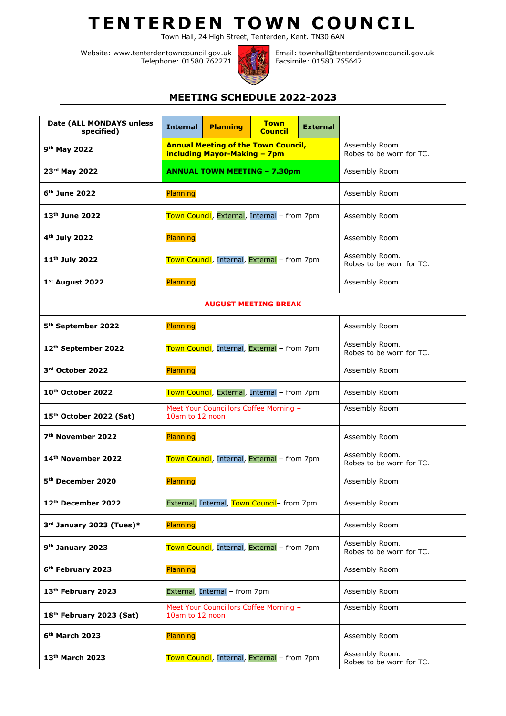## **T E N T E R D E N T OW N C O U N C I L**

Town Hall, 24 High Street, Tenterden, Kent. TN30 6AN

Website: www.tenterdentowncouncil.gov.uk Telephone: 01580 762271



Email: townhall@tenterdentowncouncil.gov.uk Facsimile: 01580 765647

## **MEETING SCHEDULE 2022-2023**

| Date (ALL MONDAYS unless<br>specified) | <b>Internal</b>                                           | <b>Planning</b>              | <b>Town</b><br><b>Council</b>              | <b>External</b> |                                            |
|----------------------------------------|-----------------------------------------------------------|------------------------------|--------------------------------------------|-----------------|--------------------------------------------|
| 9 <sup>th</sup> May 2022               |                                                           | including Mayor-Making - 7pm | <b>Annual Meeting of the Town Council,</b> |                 | Assembly Room.<br>Robes to be worn for TC. |
| 23rd May 2022                          | <b>ANNUAL TOWN MEETING - 7.30pm</b>                       |                              |                                            |                 | Assembly Room                              |
| 6 <sup>th</sup> June 2022              | Planning                                                  |                              |                                            |                 | Assembly Room                              |
| 13th June 2022                         | Town Council, External, Internal - from 7pm               |                              |                                            |                 | Assembly Room                              |
| 4 <sup>th</sup> July 2022              | Planning                                                  |                              |                                            |                 | Assembly Room                              |
| 11 <sup>th</sup> July 2022             | Town Council, Internal, External - from 7pm               |                              |                                            |                 | Assembly Room.<br>Robes to be worn for TC. |
| 1st August 2022                        | Planning                                                  |                              |                                            |                 | Assembly Room                              |
| <b>AUGUST MEETING BREAK</b>            |                                                           |                              |                                            |                 |                                            |
| 5 <sup>th</sup> September 2022         | Planning                                                  |                              |                                            |                 | Assembly Room                              |
| 12 <sup>th</sup> September 2022        | Town Council, Internal, External - from 7pm               |                              |                                            |                 | Assembly Room.<br>Robes to be worn for TC. |
| 3rd October 2022                       | Planning                                                  |                              |                                            |                 | Assembly Room                              |
| 10th October 2022                      | Town Council, External, Internal - from 7pm               |                              |                                            |                 | Assembly Room                              |
| 15th October 2022 (Sat)                | Meet Your Councillors Coffee Morning -<br>10am to 12 noon |                              |                                            |                 | Assembly Room                              |
| 7 <sup>th</sup> November 2022          | <b>Planning</b>                                           |                              |                                            |                 | Assembly Room                              |
| 14th November 2022                     | Town Council, Internal, External - from 7pm               |                              |                                            |                 | Assembly Room.<br>Robes to be worn for TC. |
| 5 <sup>th</sup> December 2020          | Planning                                                  |                              |                                            |                 | Assembly Room                              |
| 12th December 2022                     | External, Internal, Town Council- from 7pm                |                              |                                            |                 | Assembly Room                              |
| 3rd January 2023 (Tues)*               | Planning                                                  |                              |                                            |                 | Assembly Room                              |
| 9 <sup>th</sup> January 2023           | Town Council, Internal, External - from 7pm               |                              |                                            |                 | Assembly Room.<br>Robes to be worn for TC. |
| 6 <sup>th</sup> February 2023          | <b>Planning</b>                                           |                              |                                            |                 | Assembly Room                              |
| 13th February 2023                     | External, Internal - from 7pm                             |                              |                                            |                 | Assembly Room                              |
| 18th February 2023 (Sat)               | Meet Your Councillors Coffee Morning -<br>10am to 12 noon |                              |                                            |                 | Assembly Room                              |
| 6 <sup>th</sup> March 2023             | Planning                                                  |                              |                                            |                 | Assembly Room                              |
| 13th March 2023                        | Town Council, Internal, External - from 7pm               |                              |                                            |                 | Assembly Room.<br>Robes to be worn for TC. |